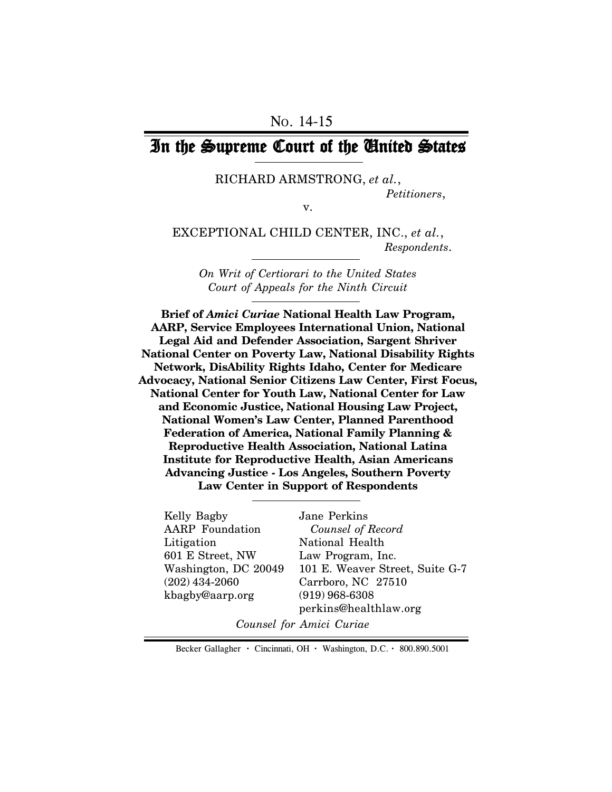# In the Supreme Court of the United States

#### RICHARD ARMSTRONG, *et al.*, *Petitioners*,

v.

EXCEPTIONAL CHILD CENTER, INC., *et al.*,  *Respondents*.

*On Writ of Certiorari to the United States Court of Appeals for the Ninth Circuit*

**Brief of** *Amici Curiae* **National Health Law Program, AARP, Service Employees International Union, National Legal Aid and Defender Association, Sargent Shriver National Center on Poverty Law, National Disability Rights Network, DisAbility Rights Idaho, Center for Medicare Advocacy, National Senior Citizens Law Center, First Focus, National Center for Youth Law, National Center for Law and Economic Justice, National Housing Law Project, National Women's Law Center, Planned Parenthood Federation of America, National Family Planning & Reproductive Health Association, National Latina Institute for Reproductive Health, Asian Americans Advancing Justice - Los Angeles, Southern Poverty Law Center in Support of Respondents**

Kelly Bagby AARP Foundation Litigation 601 E Street, NW Washington, DC 20049 (202) 434-2060 kbagby@aarp.org

Jane Perkins  *Counsel of Record* National Health Law Program, Inc. 101 E. Weaver Street, Suite G-7 Carrboro, NC 27510 (919) 968-6308 perkins@healthlaw.org

*Counsel for Amici Curiae*

Becker Gallagher **·** Cincinnati, OH **·** Washington, D.C. **·** 800.890.5001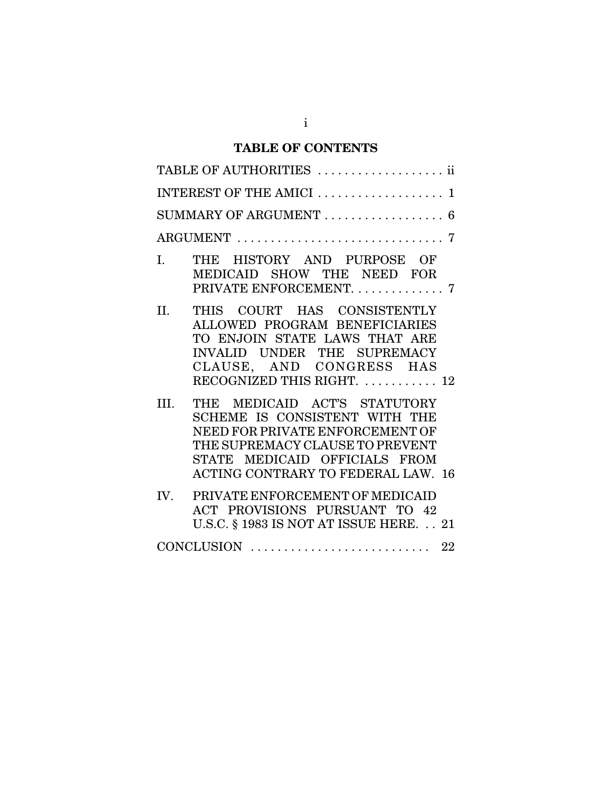## **TABLE OF CONTENTS**

| TABLE OF AUTHORITIES  ii                                                                                                                                                                                                  |
|---------------------------------------------------------------------------------------------------------------------------------------------------------------------------------------------------------------------------|
| INTEREST OF THE AMICI  1                                                                                                                                                                                                  |
| SUMMARY OF ARGUMENT $\ldots \ldots \ldots \ldots \ldots 6$                                                                                                                                                                |
|                                                                                                                                                                                                                           |
| THE HISTORY AND PURPOSE OF<br>I.<br>MEDICAID SHOW THE NEED FOR<br>PRIVATE ENFORCEMENT. 7                                                                                                                                  |
| II.<br>THIS COURT HAS CONSISTENTLY<br>ALLOWED PROGRAM BENEFICIARIES<br>TO ENJOIN STATE LAWS THAT ARE<br>INVALID UNDER THE SUPREMACY<br>CLAUSE, AND CONGRESS HAS<br>RECOGNIZED THIS RIGHT.  12                             |
| THE MEDICAID ACT'S STATUTORY<br>III.<br>SCHEME IS CONSISTENT WITH THE<br>NEED FOR PRIVATE ENFORCEMENT OF<br>THE SUPREMACY CLAUSE TO PREVENT<br>STATE MEDICAID OFFICIALS FROM<br><b>ACTING CONTRARY TO FEDERAL LAW. 16</b> |
| PRIVATE ENFORCEMENT OF MEDICAID<br>IV.<br>ACT PROVISIONS PURSUANT TO 42<br>U.S.C. § 1983 IS NOT AT ISSUE HERE. 21                                                                                                         |
|                                                                                                                                                                                                                           |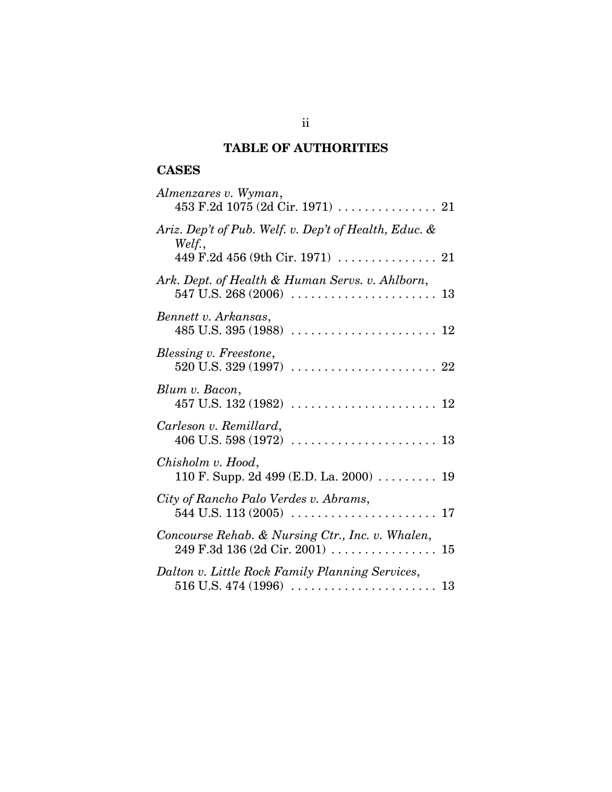## **TABLE OF AUTHORITIES**

## **CASES**

| Almenzares v. Wyman,                                                                                |
|-----------------------------------------------------------------------------------------------------|
| Ariz. Dep't of Pub. Welf. v. Dep't of Health, Educ. &<br>Welf.,<br>449 F.2d 456 (9th Cir. 1971)  21 |
| Ark. Dept. of Health & Human Servs. v. Ahlborn,                                                     |
| Bennett v. Arkansas,                                                                                |
| Blessing v. Freestone,                                                                              |
| Blum v. Bacon,                                                                                      |
| Carleson v. Remillard,                                                                              |
| Chisholm v. Hood,<br>110 F. Supp. 2d 499 (E.D. La. 2000)  19                                        |
| City of Rancho Palo Verdes v. Abrams,                                                               |
| Concourse Rehab. & Nursing Ctr., Inc. v. Whalen,                                                    |
| Dalton v. Little Rock Family Planning Services,                                                     |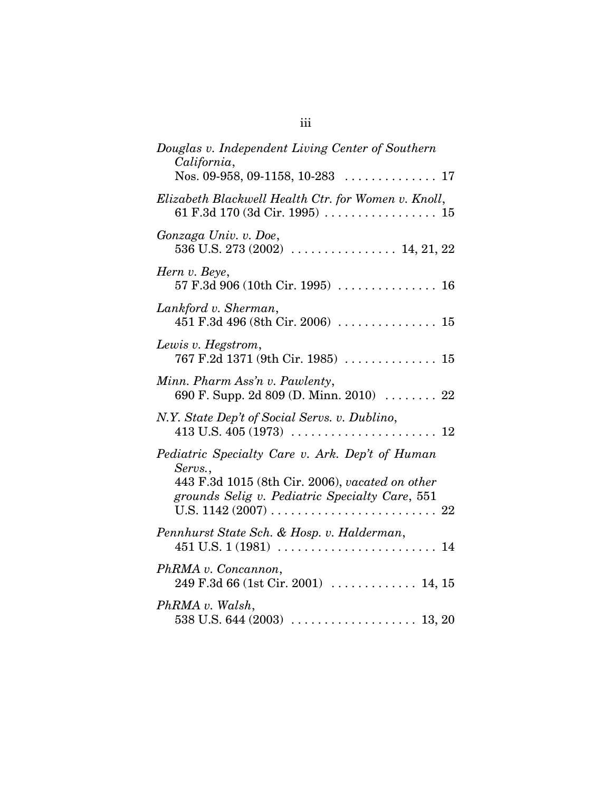| Douglas v. Independent Living Center of Southern<br>California,                                               |
|---------------------------------------------------------------------------------------------------------------|
|                                                                                                               |
| Elizabeth Blackwell Health Ctr. for Women v. Knoll,                                                           |
| Gonzaga Univ. v. Doe,<br>536 U.S. 273 (2002)  14, 21, 22                                                      |
| Hern v. Beye,                                                                                                 |
| Lankford v. Sherman,                                                                                          |
| Lewis v. Hegstrom,                                                                                            |
| Minn. Pharm Ass'n v. Pawlenty,<br>690 F. Supp. 2d 809 (D. Minn. 2010) $\ldots$ 22                             |
| N.Y. State Dep't of Social Servs. v. Dublino,                                                                 |
| Pediatric Specialty Care v. Ark. Dep't of Human<br>Servs.,<br>443 F.3d 1015 (8th Cir. 2006), vacated on other |
| grounds Selig v. Pediatric Specialty Care, 551                                                                |
| Pennhurst State Sch. & Hosp. v. Halderman,                                                                    |
| PhRMA v. Concannon,<br>$249$ F.3d 66 (1st Cir. 2001)  14, 15                                                  |
| PhRMA v. Walsh,                                                                                               |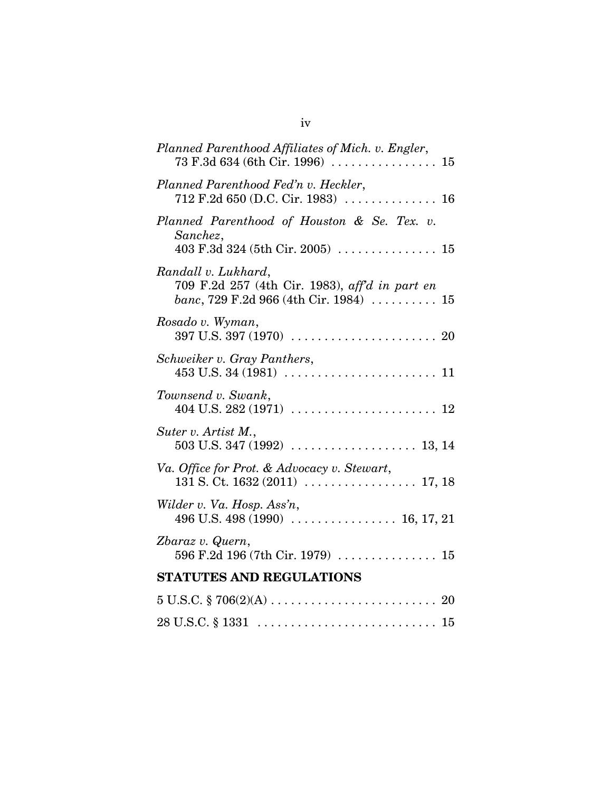| Planned Parenthood Affiliates of Mich. v. Engler,<br>$73 F.3d 634 (6th Cir. 1996) \ldots \ldots \ldots \ldots 15$                             |
|-----------------------------------------------------------------------------------------------------------------------------------------------|
| Planned Parenthood Fed'n v. Heckler,<br>712 F.2d 650 (D.C. Cir. 1983)  16                                                                     |
| Planned Parenthood of Houston & Se. Tex. v.<br>Sanchez,<br>403 F.3d 324 (5th Cir. 2005) $\ldots \ldots \ldots \ldots \ldots 15$               |
| Randall v. Lukhard,<br>709 F.2d 257 (4th Cir. 1983), aff'd in part en<br><i>banc</i> , 729 F.2d 966 (4th Cir. 1984) $\ldots \ldots \ldots 15$ |
| Rosado v. Wyman,                                                                                                                              |
| Schweiker v. Gray Panthers,                                                                                                                   |
| Townsend v. Swank,                                                                                                                            |
| Suter v. Artist M.,                                                                                                                           |
| Va. Office for Prot. & Advocacy v. Stewart,                                                                                                   |
| Wilder v. Va. Hosp. Ass'n,                                                                                                                    |
| Zbaraz v. Quern,<br>596 F.2d 196 (7th Cir. 1979)  15                                                                                          |
| <b>STATUTES AND REGULATIONS</b>                                                                                                               |
|                                                                                                                                               |
|                                                                                                                                               |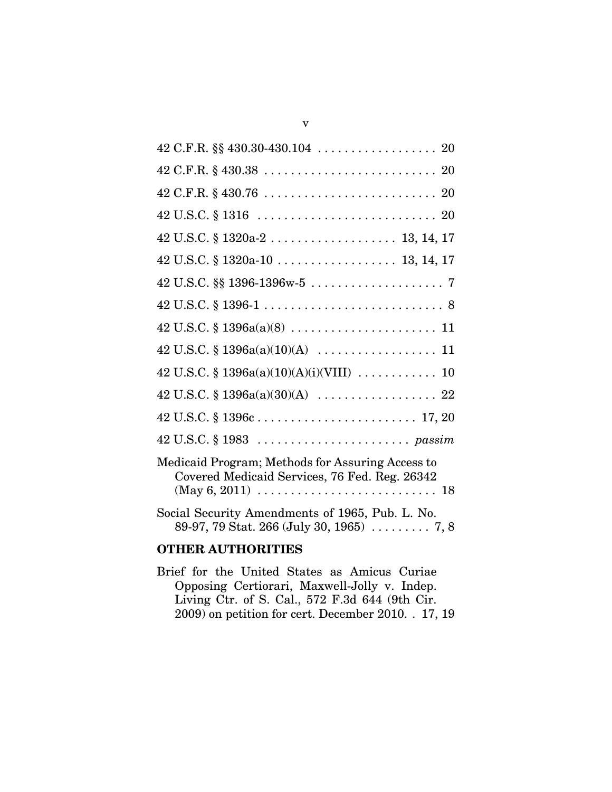| $42$ U.S.C. § 1320a-10 13, 14, 17                                                                                                                                                      |
|----------------------------------------------------------------------------------------------------------------------------------------------------------------------------------------|
|                                                                                                                                                                                        |
|                                                                                                                                                                                        |
|                                                                                                                                                                                        |
|                                                                                                                                                                                        |
|                                                                                                                                                                                        |
|                                                                                                                                                                                        |
|                                                                                                                                                                                        |
|                                                                                                                                                                                        |
| Medicaid Program; Methods for Assuring Access to<br>Covered Medicaid Services, 76 Fed. Reg. 26342<br>$(May 6, 2011) \ldots \ldots \ldots \ldots \ldots \ldots \ldots \ldots \ldots 18$ |
| Social Security Amendments of 1965, Pub. L. No.<br>89-97, 79 Stat. 266 (July 30, 1965) $\ldots$ 7, 8                                                                                   |

## **OTHER AUTHORITIES**

Brief for the United States as Amicus Curiae Opposing Certiorari, Maxwell-Jolly v. Indep. Living Ctr. of S. Cal., 572 F.3d 644 (9th Cir. 2009) on petition for cert. December 2010. . 17, 19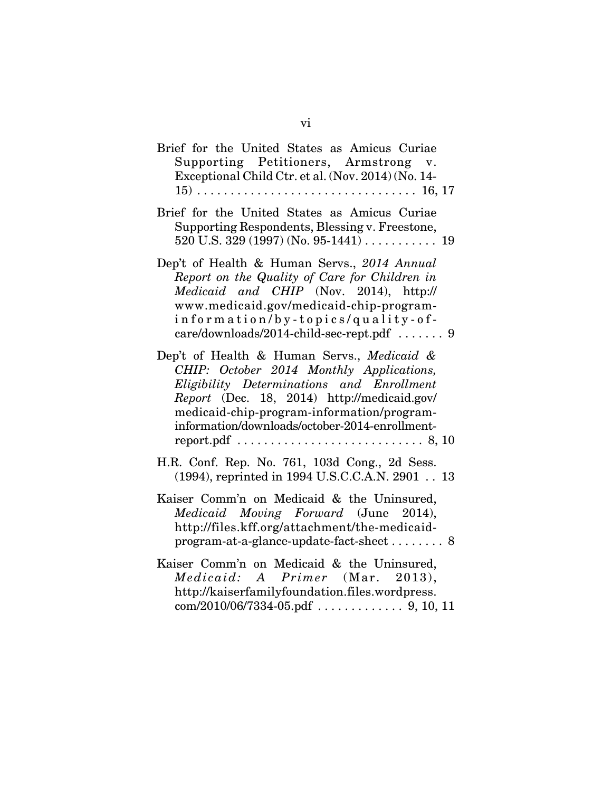| Brief for the United States as Amicus Curiae<br>Supporting Petitioners, Armstrong v.<br>Exceptional Child Ctr. et al. (Nov. 2014) (No. 14-                                                                                                                                                                                                               |
|----------------------------------------------------------------------------------------------------------------------------------------------------------------------------------------------------------------------------------------------------------------------------------------------------------------------------------------------------------|
| Brief for the United States as Amicus Curiae<br>Supporting Respondents, Blessing v. Freestone,                                                                                                                                                                                                                                                           |
| Dep't of Health & Human Servs., 2014 Annual<br>Report on the Quality of Care for Children in<br>Medicaid and CHIP (Nov. 2014), http://<br>www.medicaid.gov/medicaid-chip-program-<br>information/by-topics/quality-of-<br>care/downloads/2014-child-sec-rept.pdf  9                                                                                      |
| Dep't of Health & Human Servs., Medicaid &<br>CHIP: October 2014 Monthly Applications,<br>Eligibility Determinations and Enrollment<br>Report (Dec. 18, 2014) http://medicaid.gov/<br>medicaid-chip-program-information/program-<br>information/downloads/october-2014-enrollment-<br>report.pdf $\dots\dots\dots\dots\dots\dots\dots\dots\dots$ . 8, 10 |
| H.R. Conf. Rep. No. 761, 103d Cong., 2d Sess.<br>(1994), reprinted in 1994 U.S.C.C.A.N. 2901 13                                                                                                                                                                                                                                                          |
| Kaiser Comm'n on Medicaid & the Uninsured,<br>Medicaid Moving Forward (June 2014),<br>http://files.kff.org/attachment/the-medicaid-<br>program-at-a-glance-update-fact-sheet 8                                                                                                                                                                           |
| Kaiser Comm'n on Medicaid & the Uninsured,<br><i>Medicaid: A Primer</i> (Mar. 2013),<br>http://kaiserfamilyfoundation.files.wordpress.                                                                                                                                                                                                                   |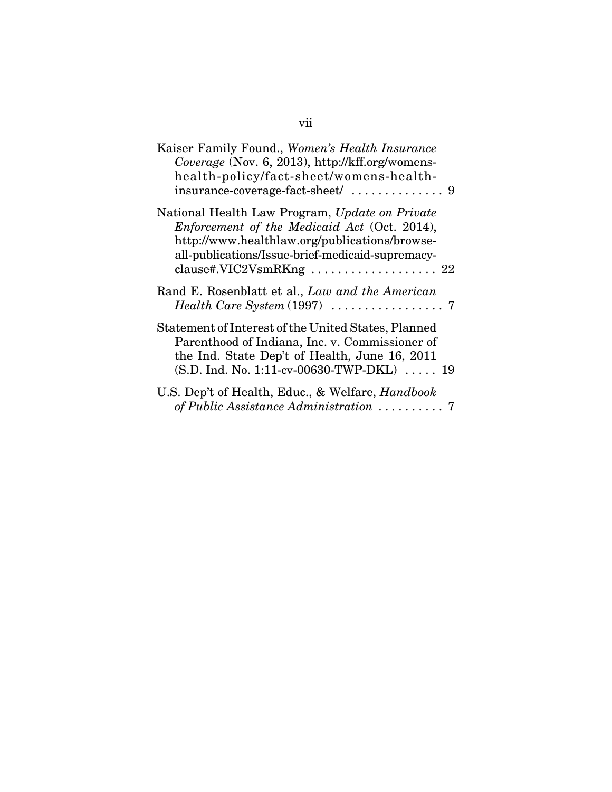| Kaiser Family Found., Women's Health Insurance<br>Coverage (Nov. 6, 2013), http://kff.org/womens-<br>health-policy/fact-sheet/womens-health-                                                                                   |
|--------------------------------------------------------------------------------------------------------------------------------------------------------------------------------------------------------------------------------|
| National Health Law Program, Update on Private<br>Enforcement of the Medicaid Act (Oct. 2014),<br>http://www.healthlaw.org/publications/browse-<br>all-publications/Issue-brief-medicaid-supremacy-<br>clause#.VIC2VsmRKng  22 |
| Rand E. Rosenblatt et al., Law and the American                                                                                                                                                                                |
| Statement of Interest of the United States, Planned<br>Parenthood of Indiana, Inc. v. Commissioner of<br>the Ind. State Dep't of Health, June 16, 2011<br>$(S.D. Ind. No. 1:11-cv-00630-TWP-DKL)$ 19                           |
| U.S. Dep't of Health, Educ., & Welfare, <i>Handbook</i><br>of Public Assistance Administration  7                                                                                                                              |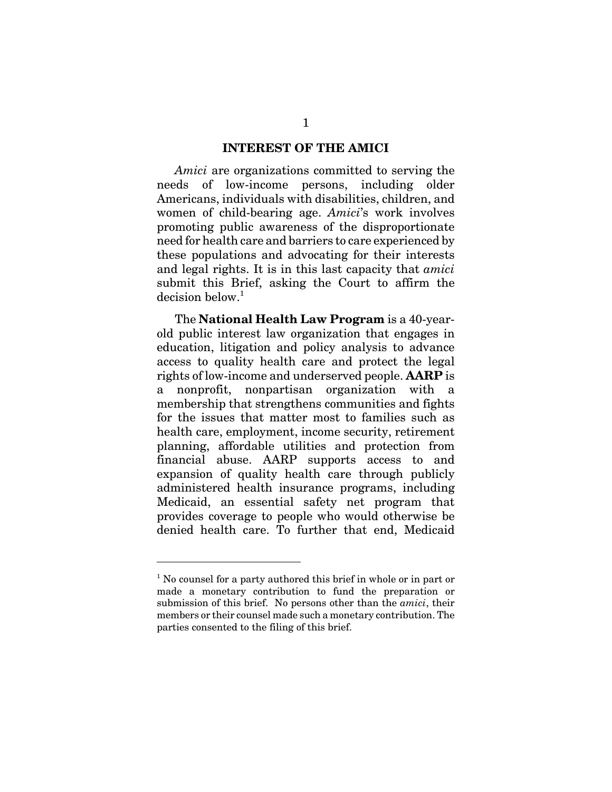#### **INTEREST OF THE AMICI**

*Amici* are organizations committed to serving the needs of low-income persons, including older Americans, individuals with disabilities, children, and women of child-bearing age. *Amici*'s work involves promoting public awareness of the disproportionate need for health care and barriers to care experienced by these populations and advocating for their interests and legal rights. It is in this last capacity that *amici* submit this Brief, asking the Court to affirm the  $decision$  below.<sup>1</sup>

The **National Health Law Program** is a 40-yearold public interest law organization that engages in education, litigation and policy analysis to advance access to quality health care and protect the legal rights of low-income and underserved people. **AARP** is a nonprofit, nonpartisan organization with a membership that strengthens communities and fights for the issues that matter most to families such as health care, employment, income security, retirement planning, affordable utilities and protection from financial abuse. AARP supports access to and expansion of quality health care through publicly administered health insurance programs, including Medicaid, an essential safety net program that provides coverage to people who would otherwise be denied health care. To further that end, Medicaid

<sup>&</sup>lt;sup>1</sup> No counsel for a party authored this brief in whole or in part or made a monetary contribution to fund the preparation or submission of this brief. No persons other than the *amici*, their members or their counsel made such a monetary contribution. The parties consented to the filing of this brief.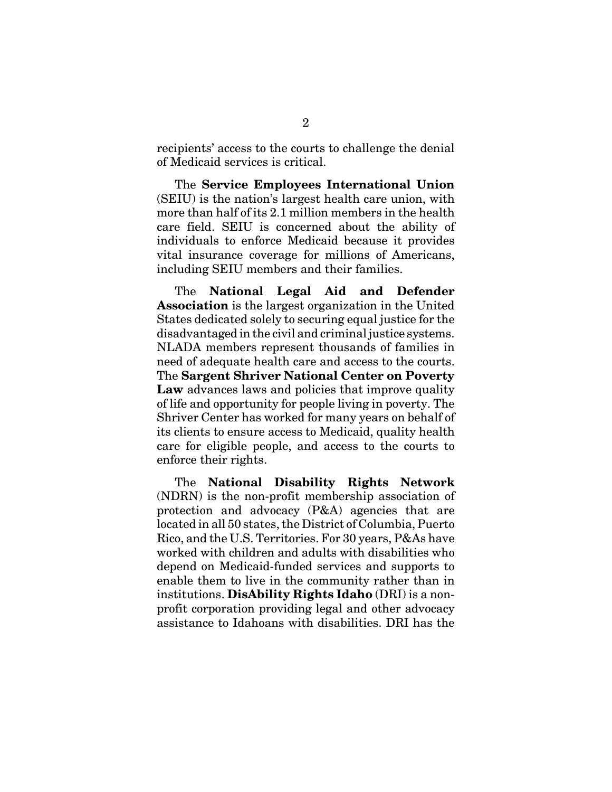recipients' access to the courts to challenge the denial of Medicaid services is critical.

The **Service Employees International Union** (SEIU) is the nation's largest health care union, with more than half of its 2.1 million members in the health care field. SEIU is concerned about the ability of individuals to enforce Medicaid because it provides vital insurance coverage for millions of Americans, including SEIU members and their families.

The **National Legal Aid and Defender Association** is the largest organization in the United States dedicated solely to securing equal justice for the disadvantaged in the civil and criminal justice systems. NLADA members represent thousands of families in need of adequate health care and access to the courts. The **Sargent Shriver National Center on Poverty** Law advances laws and policies that improve quality of life and opportunity for people living in poverty. The Shriver Center has worked for many years on behalf of its clients to ensure access to Medicaid, quality health care for eligible people, and access to the courts to enforce their rights.

The **National Disability Rights Network** (NDRN) is the non-profit membership association of protection and advocacy (P&A) agencies that are located in all 50 states, the District of Columbia, Puerto Rico, and the U.S. Territories. For 30 years, P&As have worked with children and adults with disabilities who depend on Medicaid-funded services and supports to enable them to live in the community rather than in institutions. **DisAbility Rights Idaho** (DRI) is a nonprofit corporation providing legal and other advocacy assistance to Idahoans with disabilities. DRI has the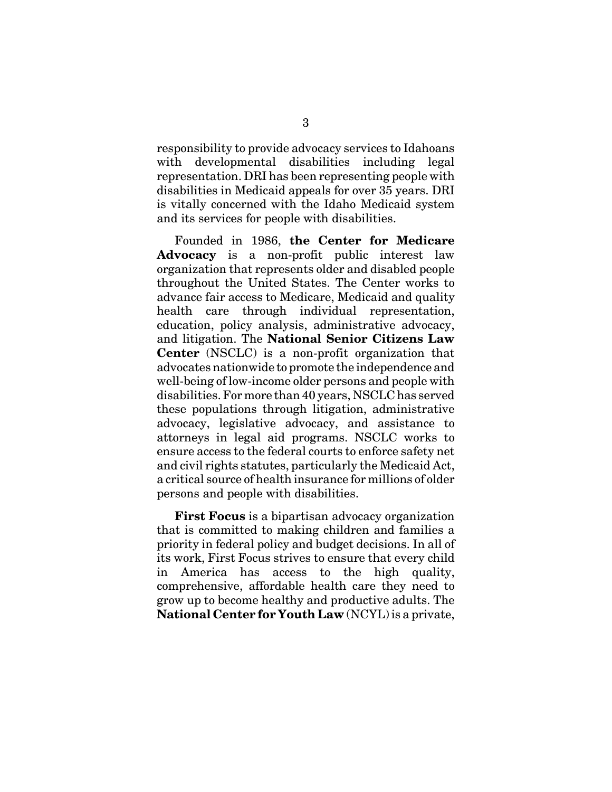responsibility to provide advocacy services to Idahoans with developmental disabilities including legal representation. DRI has been representing people with disabilities in Medicaid appeals for over 35 years. DRI is vitally concerned with the Idaho Medicaid system and its services for people with disabilities.

Founded in 1986, **the Center for Medicare Advocacy** is a non-profit public interest law organization that represents older and disabled people throughout the United States. The Center works to advance fair access to Medicare, Medicaid and quality health care through individual representation, education, policy analysis, administrative advocacy, and litigation. The **National Senior Citizens Law Center** (NSCLC) is a non-profit organization that advocates nationwide to promote the independence and well-being of low-income older persons and people with disabilities. For more than 40 years, NSCLC has served these populations through litigation, administrative advocacy, legislative advocacy, and assistance to attorneys in legal aid programs. NSCLC works to ensure access to the federal courts to enforce safety net and civil rights statutes, particularly the Medicaid Act, a critical source of health insurance for millions of older persons and people with disabilities.

**First Focus** is a bipartisan advocacy organization that is committed to making children and families a priority in federal policy and budget decisions. In all of its work, First Focus strives to ensure that every child in America has access to the high quality, comprehensive, affordable health care they need to grow up to become healthy and productive adults. The **National Center for Youth Law** (NCYL) is a private,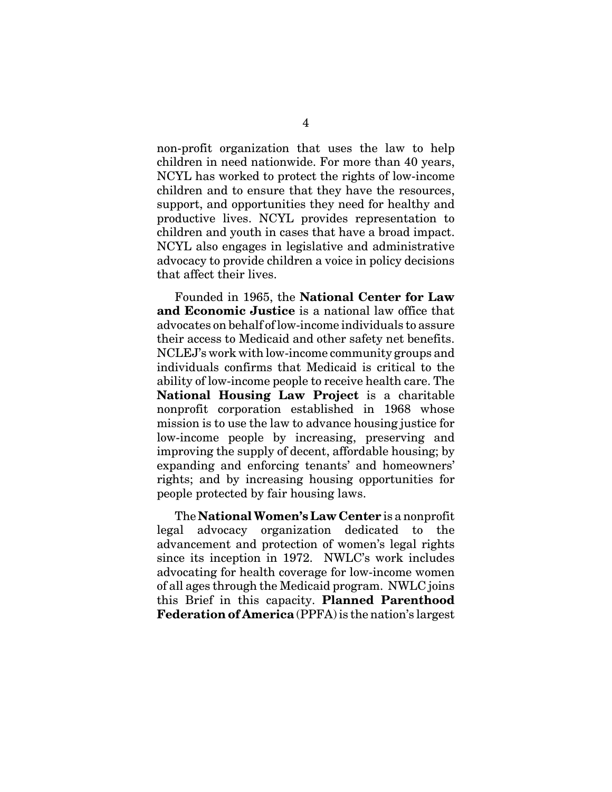non-profit organization that uses the law to help children in need nationwide. For more than 40 years, NCYL has worked to protect the rights of low-income children and to ensure that they have the resources, support, and opportunities they need for healthy and productive lives. NCYL provides representation to children and youth in cases that have a broad impact. NCYL also engages in legislative and administrative advocacy to provide children a voice in policy decisions that affect their lives.

Founded in 1965, the **National Center for Law and Economic Justice** is a national law office that advocates on behalf of low-income individuals to assure their access to Medicaid and other safety net benefits. NCLEJ's work with low-income community groups and individuals confirms that Medicaid is critical to the ability of low-income people to receive health care. The **National Housing Law Project** is a charitable nonprofit corporation established in 1968 whose mission is to use the law to advance housing justice for low-income people by increasing, preserving and improving the supply of decent, affordable housing; by expanding and enforcing tenants' and homeowners' rights; and by increasing housing opportunities for people protected by fair housing laws.

The **National Women's Law Center** is a nonprofit legal advocacy organization dedicated to the advancement and protection of women's legal rights since its inception in 1972. NWLC's work includes advocating for health coverage for low-income women of all ages through the Medicaid program. NWLC joins this Brief in this capacity. **Planned Parenthood Federation of America** (PPFA) is the nation's largest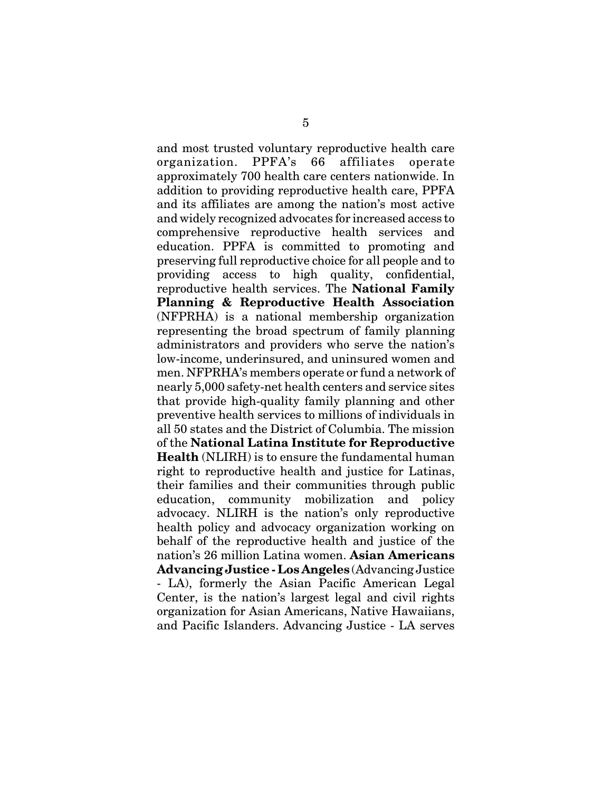and most trusted voluntary reproductive health care organization. PPFA's 66 affiliates operate approximately 700 health care centers nationwide. In addition to providing reproductive health care, PPFA and its affiliates are among the nation's most active and widely recognized advocates for increased access to comprehensive reproductive health services and education. PPFA is committed to promoting and preserving full reproductive choice for all people and to providing access to high quality, confidential, reproductive health services. The **National Family Planning & Reproductive Health Association** (NFPRHA) is a national membership organization representing the broad spectrum of family planning administrators and providers who serve the nation's low-income, underinsured, and uninsured women and men. NFPRHA's members operate or fund a network of nearly 5,000 safety-net health centers and service sites that provide high-quality family planning and other preventive health services to millions of individuals in all 50 states and the District of Columbia. The mission of the **National Latina Institute for Reproductive Health** (NLIRH) is to ensure the fundamental human right to reproductive health and justice for Latinas, their families and their communities through public education, community mobilization and policy advocacy. NLIRH is the nation's only reproductive health policy and advocacy organization working on behalf of the reproductive health and justice of the nation's 26 million Latina women. **Asian Americans Advancing Justice - Los Angeles** (Advancing Justice - LA), formerly the Asian Pacific American Legal Center, is the nation's largest legal and civil rights organization for Asian Americans, Native Hawaiians, and Pacific Islanders. Advancing Justice - LA serves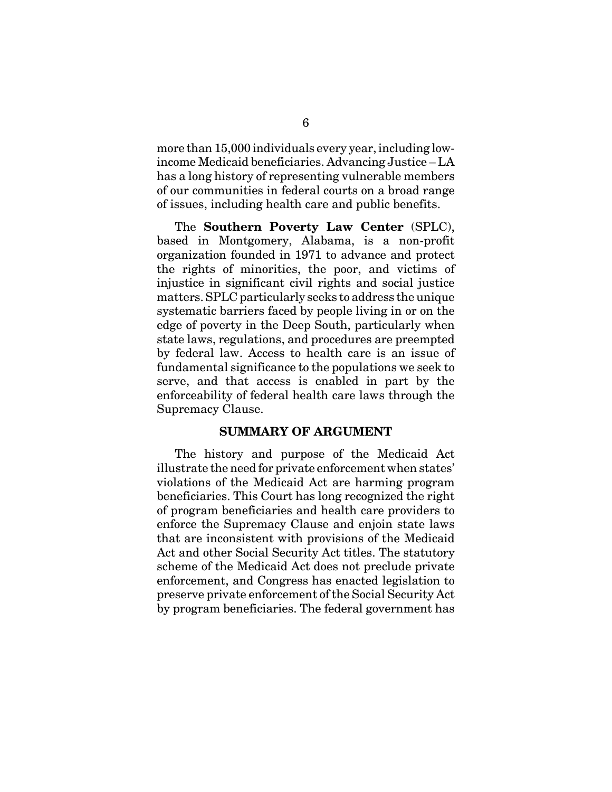more than 15,000 individuals every year, including lowincome Medicaid beneficiaries. Advancing Justice – LA has a long history of representing vulnerable members of our communities in federal courts on a broad range of issues, including health care and public benefits.

The **Southern Poverty Law Center** (SPLC), based in Montgomery, Alabama, is a non-profit organization founded in 1971 to advance and protect the rights of minorities, the poor, and victims of injustice in significant civil rights and social justice matters. SPLC particularly seeks to address the unique systematic barriers faced by people living in or on the edge of poverty in the Deep South, particularly when state laws, regulations, and procedures are preempted by federal law. Access to health care is an issue of fundamental significance to the populations we seek to serve, and that access is enabled in part by the enforceability of federal health care laws through the Supremacy Clause.

#### **SUMMARY OF ARGUMENT**

The history and purpose of the Medicaid Act illustrate the need for private enforcement when states' violations of the Medicaid Act are harming program beneficiaries. This Court has long recognized the right of program beneficiaries and health care providers to enforce the Supremacy Clause and enjoin state laws that are inconsistent with provisions of the Medicaid Act and other Social Security Act titles. The statutory scheme of the Medicaid Act does not preclude private enforcement, and Congress has enacted legislation to preserve private enforcement of the Social Security Act by program beneficiaries. The federal government has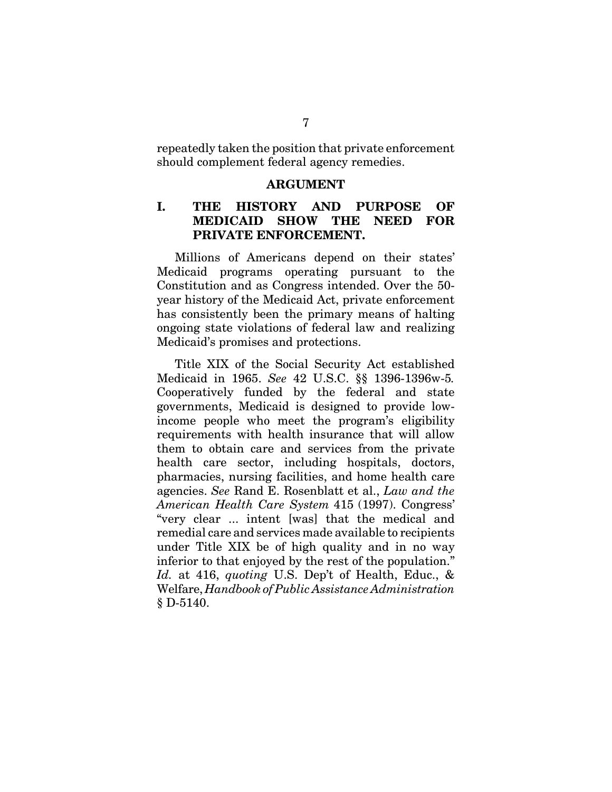repeatedly taken the position that private enforcement should complement federal agency remedies.

#### **ARGUMENT**

#### **I. THE HISTORY AND PURPOSE OF MEDICAID SHOW THE NEED FOR PRIVATE ENFORCEMENT.**

Millions of Americans depend on their states' Medicaid programs operating pursuant to the Constitution and as Congress intended. Over the 50 year history of the Medicaid Act, private enforcement has consistently been the primary means of halting ongoing state violations of federal law and realizing Medicaid's promises and protections.

Title XIX of the Social Security Act established Medicaid in 1965. *See* 42 U.S.C. §§ 1396-1396w-5*.* Cooperatively funded by the federal and state governments, Medicaid is designed to provide lowincome people who meet the program's eligibility requirements with health insurance that will allow them to obtain care and services from the private health care sector, including hospitals, doctors, pharmacies, nursing facilities, and home health care agencies. *See* Rand E. Rosenblatt et al., *Law and the American Health Care System* 415 (1997). Congress' "very clear ... intent [was] that the medical and remedial care and services made available to recipients under Title XIX be of high quality and in no way inferior to that enjoyed by the rest of the population." *Id.* at 416, *quoting* U.S. Dep't of Health, Educ., & Welfare, *Handbook of Public Assistance Administration* § D-5140.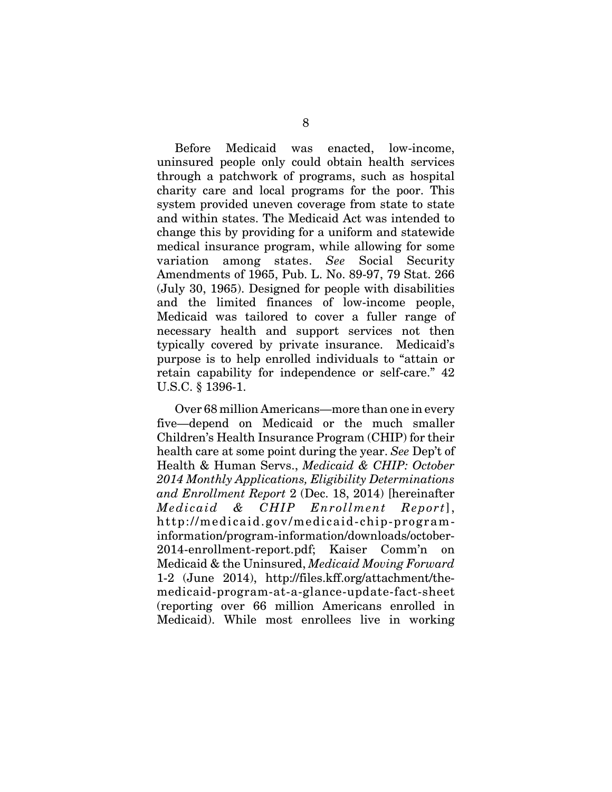Before Medicaid was enacted, low-income, uninsured people only could obtain health services through a patchwork of programs, such as hospital charity care and local programs for the poor. This system provided uneven coverage from state to state and within states. The Medicaid Act was intended to change this by providing for a uniform and statewide medical insurance program, while allowing for some variation among states. *See* Social Security Amendments of 1965, Pub. L. No. 89-97, 79 Stat. 266 (July 30, 1965). Designed for people with disabilities and the limited finances of low-income people, Medicaid was tailored to cover a fuller range of necessary health and support services not then typically covered by private insurance. Medicaid's purpose is to help enrolled individuals to "attain or retain capability for independence or self-care." 42 U.S.C. § 1396-1.

Over 68 million Americans—more than one in every five—depend on Medicaid or the much smaller Children's Health Insurance Program (CHIP) for their health care at some point during the year. *See* Dep't of Health & Human Servs., *Medicaid & CHIP: October 2014 Monthly Applications, Eligibility Determinations and Enrollment Report* 2 (Dec. 18, 2014) [hereinafter *Medicaid & CHIP Enrollment Report*], http://medicaid.gov/medicaid-chip-programinformation/program-information/downloads/october-2014-enrollment-report.pdf; Kaiser Comm'n on Medicaid & the Uninsured, *Medicaid Moving Forward* 1-2 (June 2014), http://files.kff.org/attachment/themedicaid-program-at-a-glance-update-fact-sheet (reporting over 66 million Americans enrolled in Medicaid). While most enrollees live in working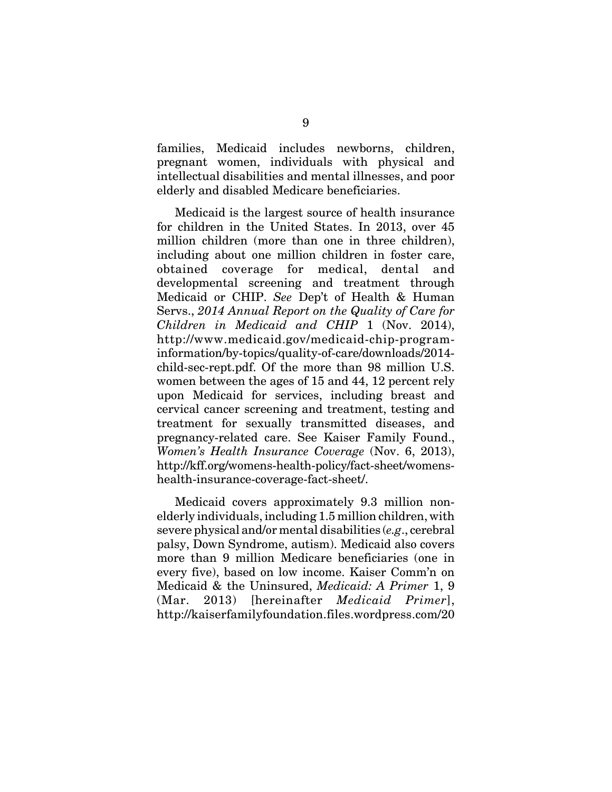families, Medicaid includes newborns, children, pregnant women, individuals with physical and intellectual disabilities and mental illnesses, and poor elderly and disabled Medicare beneficiaries.

Medicaid is the largest source of health insurance for children in the United States. In 2013, over 45 million children (more than one in three children), including about one million children in foster care, obtained coverage for medical, dental and developmental screening and treatment through Medicaid or CHIP. *See* Dep't of Health & Human Servs., *2014 Annual Report on the Quality of Care for Children in Medicaid and CHIP* 1 (Nov. 2014), http://www.medicaid.gov/medicaid-chip-programinformation/by-topics/quality-of-care/downloads/2014 child-sec-rept.pdf. Of the more than 98 million U.S. women between the ages of 15 and 44, 12 percent rely upon Medicaid for services, including breast and cervical cancer screening and treatment, testing and treatment for sexually transmitted diseases, and pregnancy-related care. See Kaiser Family Found., *Women's Health Insurance Coverage* (Nov. 6, 2013), http://kff.org/womens-health-policy/fact-sheet/womenshealth-insurance-coverage-fact-sheet/.

Medicaid covers approximately 9.3 million nonelderly individuals, including 1.5 million children, with severe physical and/or mental disabilities (*e.g*., cerebral palsy, Down Syndrome, autism). Medicaid also covers more than 9 million Medicare beneficiaries (one in every five), based on low income. Kaiser Comm'n on Medicaid & the Uninsured, *Medicaid: A Primer* 1, 9 (Mar. 2013) [hereinafter *Medicaid Primer*], http://kaiserfamilyfoundation.files.wordpress.com/20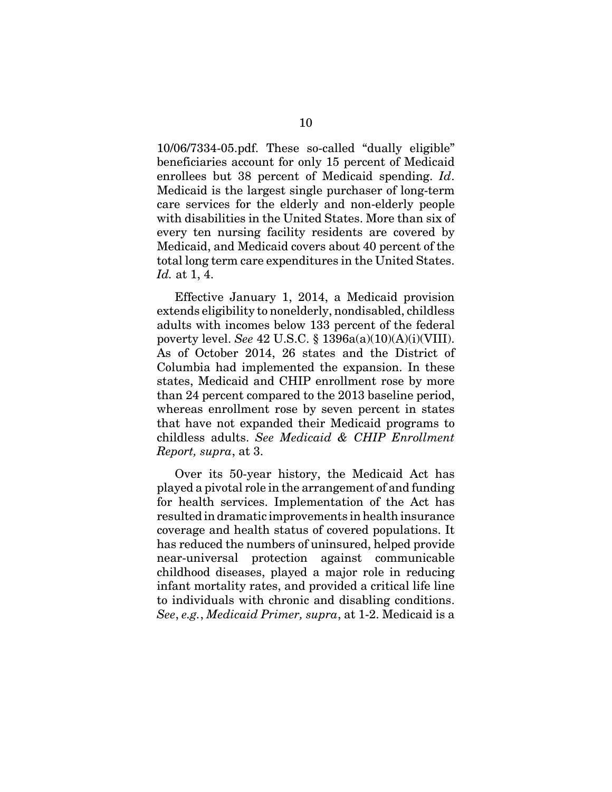10/06/7334-05.pdf. These so-called "dually eligible" beneficiaries account for only 15 percent of Medicaid enrollees but 38 percent of Medicaid spending. *Id*. Medicaid is the largest single purchaser of long-term care services for the elderly and non-elderly people with disabilities in the United States. More than six of every ten nursing facility residents are covered by Medicaid, and Medicaid covers about 40 percent of the total long term care expenditures in the United States. *Id.* at 1, 4.

Effective January 1, 2014, a Medicaid provision extends eligibility to nonelderly, nondisabled, childless adults with incomes below 133 percent of the federal poverty level. *See* 42 U.S.C. § 1396a(a)(10)(A)(i)(VIII). As of October 2014, 26 states and the District of Columbia had implemented the expansion. In these states, Medicaid and CHIP enrollment rose by more than 24 percent compared to the 2013 baseline period, whereas enrollment rose by seven percent in states that have not expanded their Medicaid programs to childless adults. *See Medicaid & CHIP Enrollment Report, supra*, at 3.

Over its 50-year history, the Medicaid Act has played a pivotal role in the arrangement of and funding for health services. Implementation of the Act has resulted in dramatic improvements in health insurance coverage and health status of covered populations. It has reduced the numbers of uninsured, helped provide near-universal protection against communicable childhood diseases, played a major role in reducing infant mortality rates, and provided a critical life line to individuals with chronic and disabling conditions. *See*, *e.g.*, *Medicaid Primer, supra*, at 1-2. Medicaid is a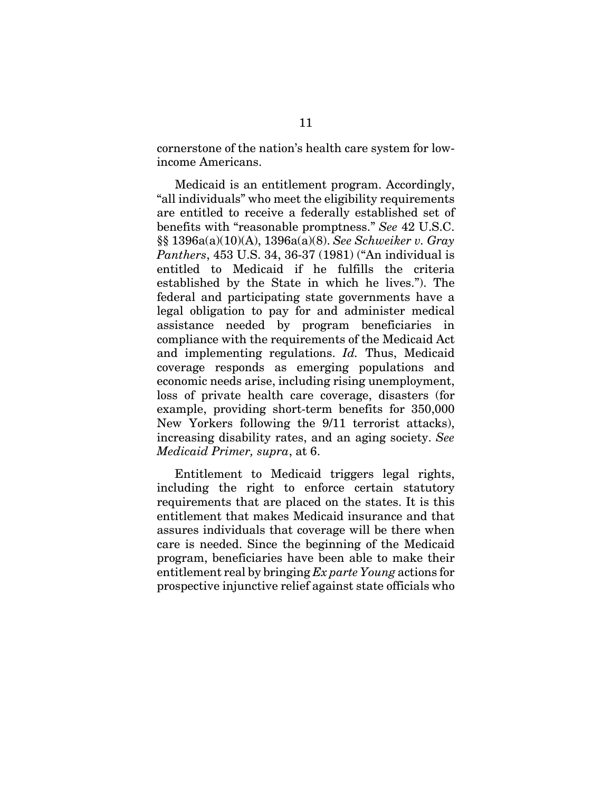cornerstone of the nation's health care system for lowincome Americans.

Medicaid is an entitlement program. Accordingly, "all individuals" who meet the eligibility requirements are entitled to receive a federally established set of benefits with "reasonable promptness." *See* 42 U.S.C. §§ 1396a(a)(10)(A), 1396a(a)(8). *See Schweiker v. Gray Panthers*, 453 U.S. 34, 36-37 (1981) ("An individual is entitled to Medicaid if he fulfills the criteria established by the State in which he lives."). The federal and participating state governments have a legal obligation to pay for and administer medical assistance needed by program beneficiaries in compliance with the requirements of the Medicaid Act and implementing regulations. *Id.* Thus, Medicaid coverage responds as emerging populations and economic needs arise, including rising unemployment, loss of private health care coverage, disasters (for example, providing short-term benefits for 350,000 New Yorkers following the 9/11 terrorist attacks), increasing disability rates, and an aging society. *See Medicaid Primer, supra*, at 6.

Entitlement to Medicaid triggers legal rights, including the right to enforce certain statutory requirements that are placed on the states. It is this entitlement that makes Medicaid insurance and that assures individuals that coverage will be there when care is needed. Since the beginning of the Medicaid program, beneficiaries have been able to make their entitlement real by bringing *Ex parte Young* actions for prospective injunctive relief against state officials who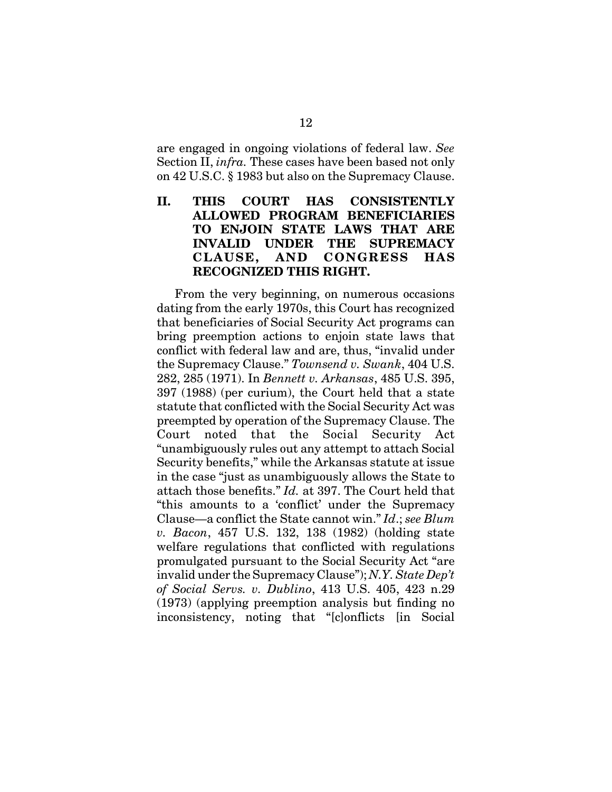are engaged in ongoing violations of federal law. *See* Section II, *infra.* These cases have been based not only on 42 U.S.C. § 1983 but also on the Supremacy Clause.

### **II. THIS COURT HAS CONSISTENTLY ALLOWED PROGRAM BENEFICIARIES TO ENJOIN STATE LAWS THAT ARE INVALID UNDER THE SUPREMACY CLAUSE, AND CONGRESS HAS RECOGNIZED THIS RIGHT.**

From the very beginning, on numerous occasions dating from the early 1970s, this Court has recognized that beneficiaries of Social Security Act programs can bring preemption actions to enjoin state laws that conflict with federal law and are, thus, "invalid under the Supremacy Clause." *Townsend v. Swank*, 404 U.S. 282, 285 (1971). In *Bennett v. Arkansas*, 485 U.S. 395, 397 (1988) (per curium), the Court held that a state statute that conflicted with the Social Security Act was preempted by operation of the Supremacy Clause. The Court noted that the Social Security Act "unambiguously rules out any attempt to attach Social Security benefits," while the Arkansas statute at issue in the case "just as unambiguously allows the State to attach those benefits." *Id.* at 397. The Court held that "this amounts to a 'conflict' under the Supremacy Clause—a conflict the State cannot win." *Id*.; *see Blum v. Bacon*, 457 U.S. 132, 138 (1982) (holding state welfare regulations that conflicted with regulations promulgated pursuant to the Social Security Act "are invalid under the Supremacy Clause"); *N.Y. State Dep't of Social Servs. v. Dublino*, 413 U.S. 405, 423 n.29 (1973) (applying preemption analysis but finding no inconsistency, noting that "[c]onflicts [in Social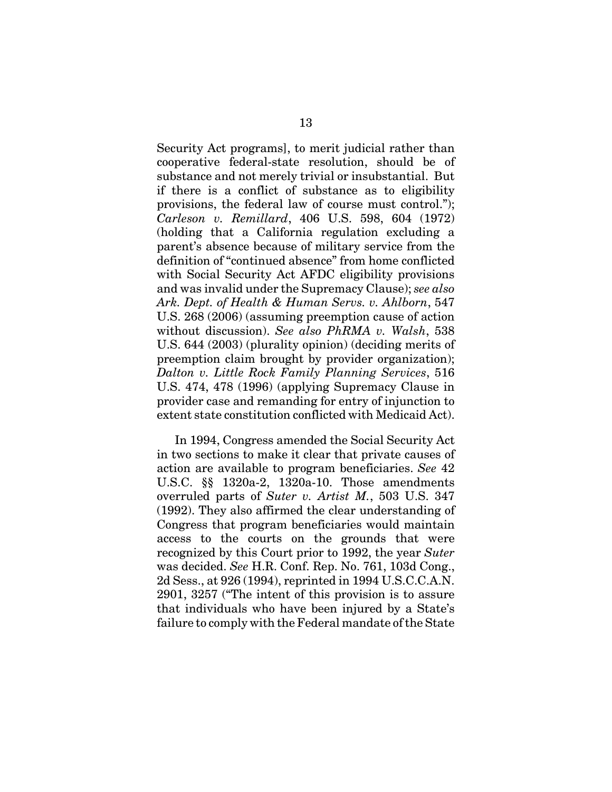Security Act programs], to merit judicial rather than cooperative federal-state resolution, should be of substance and not merely trivial or insubstantial. But if there is a conflict of substance as to eligibility provisions, the federal law of course must control."); *Carleson v. Remillard*, 406 U.S. 598, 604 (1972) (holding that a California regulation excluding a parent's absence because of military service from the definition of "continued absence" from home conflicted with Social Security Act AFDC eligibility provisions and was invalid under the Supremacy Clause); *see also Ark. Dept. of Health & Human Servs. v. Ahlborn*, 547 U.S. 268 (2006) (assuming preemption cause of action without discussion). *See also PhRMA v. Walsh*, 538 U.S. 644 (2003) (plurality opinion) (deciding merits of preemption claim brought by provider organization); *Dalton v. Little Rock Family Planning Services*, 516 U.S. 474, 478 (1996) (applying Supremacy Clause in provider case and remanding for entry of injunction to extent state constitution conflicted with Medicaid Act).

In 1994, Congress amended the Social Security Act in two sections to make it clear that private causes of action are available to program beneficiaries. *See* 42 U.S.C. §§ 1320a-2, 1320a-10. Those amendments overruled parts of *Suter v. Artist M.*, 503 U.S. 347 (1992). They also affirmed the clear understanding of Congress that program beneficiaries would maintain access to the courts on the grounds that were recognized by this Court prior to 1992, the year *Suter* was decided. *See* H.R. Conf. Rep. No. 761, 103d Cong., 2d Sess., at 926 (1994), reprinted in 1994 U.S.C.C.A.N. 2901, 3257 ("The intent of this provision is to assure that individuals who have been injured by a State's failure to comply with the Federal mandate of the State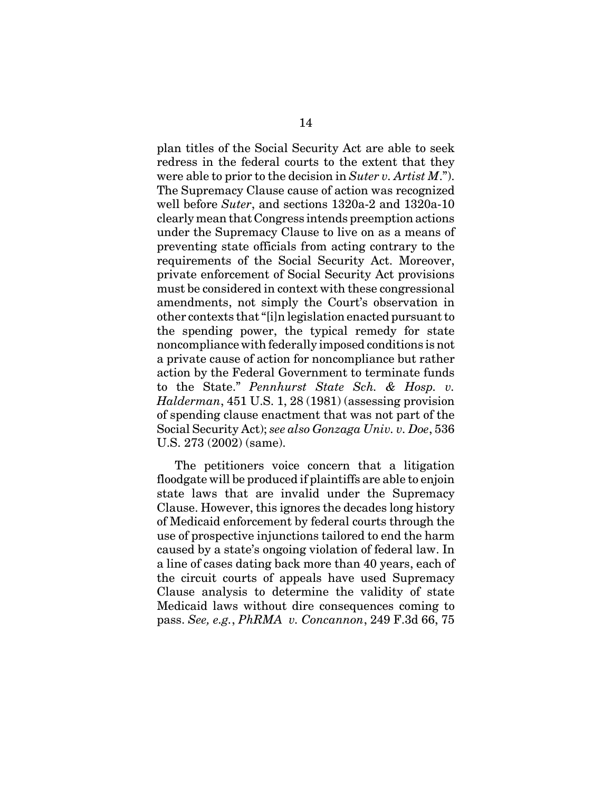plan titles of the Social Security Act are able to seek redress in the federal courts to the extent that they were able to prior to the decision in *Suter v. Artist M*."). The Supremacy Clause cause of action was recognized well before *Suter*, and sections 1320a-2 and 1320a-10 clearly mean that Congress intends preemption actions under the Supremacy Clause to live on as a means of preventing state officials from acting contrary to the requirements of the Social Security Act. Moreover, private enforcement of Social Security Act provisions must be considered in context with these congressional amendments, not simply the Court's observation in other contexts that "[i]n legislation enacted pursuant to the spending power, the typical remedy for state noncompliance with federally imposed conditions is not a private cause of action for noncompliance but rather action by the Federal Government to terminate funds to the State." *Pennhurst State Sch. & Hosp. v. Halderman*, 451 U.S. 1, 28 (1981) (assessing provision of spending clause enactment that was not part of the Social Security Act); *see also Gonzaga Univ. v. Doe*, 536 U.S. 273 (2002) (same).

The petitioners voice concern that a litigation floodgate will be produced if plaintiffs are able to enjoin state laws that are invalid under the Supremacy Clause. However, this ignores the decades long history of Medicaid enforcement by federal courts through the use of prospective injunctions tailored to end the harm caused by a state's ongoing violation of federal law. In a line of cases dating back more than 40 years, each of the circuit courts of appeals have used Supremacy Clause analysis to determine the validity of state Medicaid laws without dire consequences coming to pass. *See, e.g.*, *PhRMA v. Concannon*, 249 F.3d 66, 75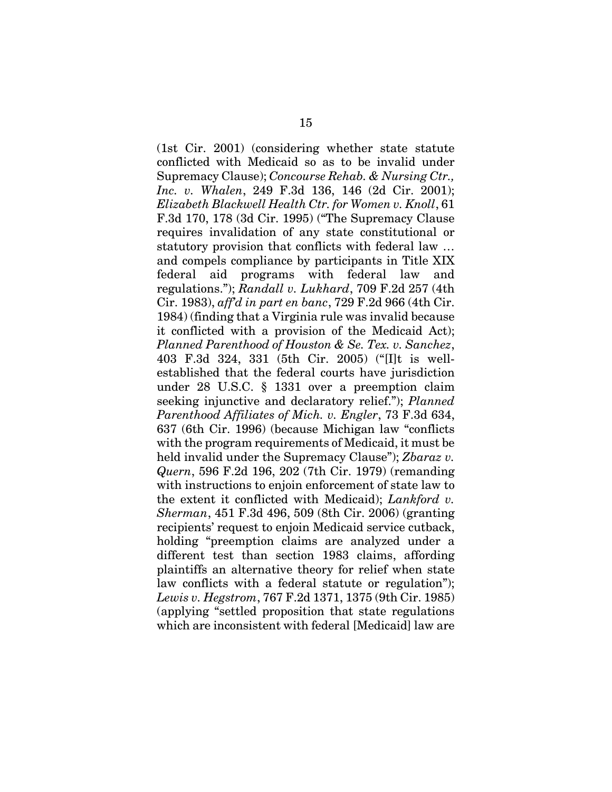(1st Cir. 2001) (considering whether state statute conflicted with Medicaid so as to be invalid under Supremacy Clause); *Concourse Rehab. & Nursing Ctr., Inc. v. Whalen*, 249 F.3d 136, 146 (2d Cir. 2001); *Elizabeth Blackwell Health Ctr. for Women v. Knoll*, 61 F.3d 170, 178 (3d Cir. 1995) ("The Supremacy Clause requires invalidation of any state constitutional or statutory provision that conflicts with federal law … and compels compliance by participants in Title XIX federal aid programs with federal law and regulations."); *Randall v. Lukhard*, 709 F.2d 257 (4th Cir. 1983), *aff'd in part en banc*, 729 F.2d 966 (4th Cir. 1984) (finding that a Virginia rule was invalid because it conflicted with a provision of the Medicaid Act); *Planned Parenthood of Houston & Se. Tex. v. Sanchez*, 403 F.3d 324, 331 (5th Cir. 2005) ("[I]t is wellestablished that the federal courts have jurisdiction under 28 U.S.C. § 1331 over a preemption claim seeking injunctive and declaratory relief."); *Planned Parenthood Affiliates of Mich. v. Engler*, 73 F.3d 634, 637 (6th Cir. 1996) (because Michigan law "conflicts with the program requirements of Medicaid, it must be held invalid under the Supremacy Clause"); *Zbaraz v. Quern*, 596 F.2d 196, 202 (7th Cir. 1979) (remanding with instructions to enjoin enforcement of state law to the extent it conflicted with Medicaid); *Lankford v. Sherman*, 451 F.3d 496, 509 (8th Cir. 2006) (granting recipients' request to enjoin Medicaid service cutback, holding "preemption claims are analyzed under a different test than section 1983 claims, affording plaintiffs an alternative theory for relief when state law conflicts with a federal statute or regulation"); *Lewis v. Hegstrom*, 767 F.2d 1371, 1375 (9th Cir. 1985) (applying "settled proposition that state regulations which are inconsistent with federal [Medicaid] law are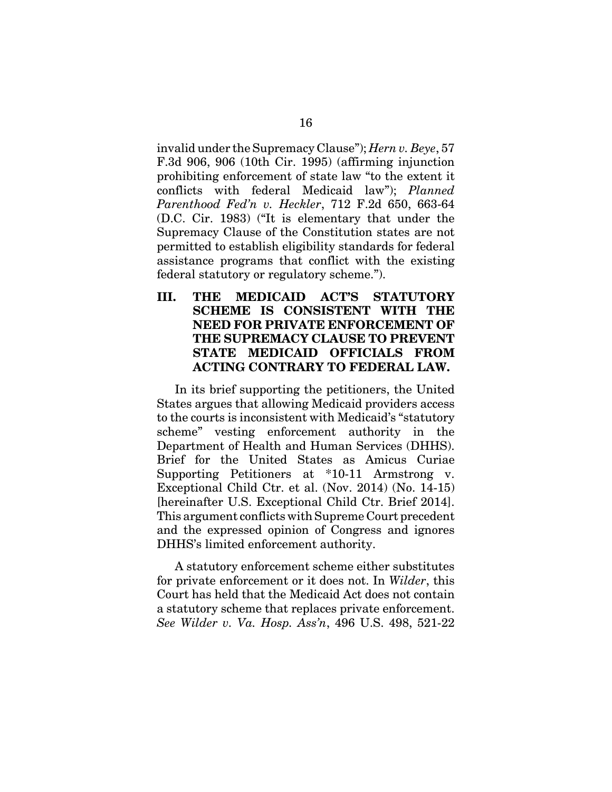invalid under the Supremacy Clause"); *Hern v. Beye*, 57 F.3d 906, 906 (10th Cir. 1995) (affirming injunction prohibiting enforcement of state law "to the extent it conflicts with federal Medicaid law"); *Planned Parenthood Fed'n v. Heckler*, 712 F.2d 650, 663-64 (D.C. Cir. 1983) ("It is elementary that under the Supremacy Clause of the Constitution states are not permitted to establish eligibility standards for federal assistance programs that conflict with the existing federal statutory or regulatory scheme.").

**III. THE MEDICAID ACT'S STATUTORY SCHEME IS CONSISTENT WITH THE NEED FOR PRIVATE ENFORCEMENT OF THE SUPREMACY CLAUSE TO PREVENT STATE MEDICAID OFFICIALS FROM ACTING CONTRARY TO FEDERAL LAW.**

In its brief supporting the petitioners, the United States argues that allowing Medicaid providers access to the courts is inconsistent with Medicaid's "statutory scheme" vesting enforcement authority in the Department of Health and Human Services (DHHS). Brief for the United States as Amicus Curiae Supporting Petitioners at \*10-11 Armstrong v. Exceptional Child Ctr. et al. (Nov. 2014) (No. 14-15) [hereinafter U.S. Exceptional Child Ctr. Brief 2014]. This argument conflicts with Supreme Court precedent and the expressed opinion of Congress and ignores DHHS's limited enforcement authority.

A statutory enforcement scheme either substitutes for private enforcement or it does not. In *Wilder*, this Court has held that the Medicaid Act does not contain a statutory scheme that replaces private enforcement. *See Wilder v. Va. Hosp. Ass'n*, 496 U.S. 498, 521-22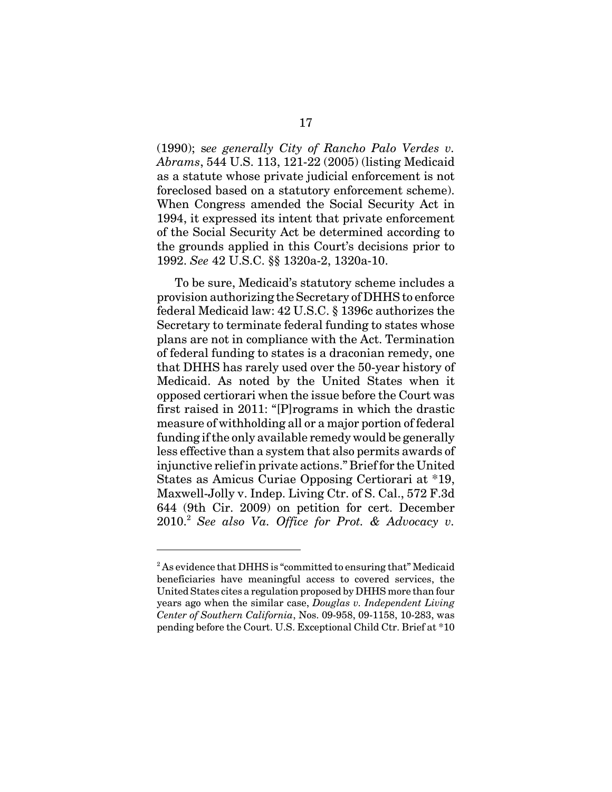(1990); s*ee generally City of Rancho Palo Verdes v. Abrams*, 544 U.S. 113, 121-22 (2005) (listing Medicaid as a statute whose private judicial enforcement is not foreclosed based on a statutory enforcement scheme). When Congress amended the Social Security Act in 1994, it expressed its intent that private enforcement of the Social Security Act be determined according to the grounds applied in this Court's decisions prior to 1992. *See* 42 U.S.C. §§ 1320a-2, 1320a-10.

To be sure, Medicaid's statutory scheme includes a provision authorizing the Secretary of DHHS to enforce federal Medicaid law: 42 U.S.C. § 1396c authorizes the Secretary to terminate federal funding to states whose plans are not in compliance with the Act. Termination of federal funding to states is a draconian remedy, one that DHHS has rarely used over the 50-year history of Medicaid. As noted by the United States when it opposed certiorari when the issue before the Court was first raised in 2011: "[P]rograms in which the drastic measure of withholding all or a major portion of federal funding if the only available remedy would be generally less effective than a system that also permits awards of injunctive relief in private actions." Brief for the United States as Amicus Curiae Opposing Certiorari at \*19, Maxwell-Jolly v. Indep. Living Ctr. of S. Cal., 572 F.3d 644 (9th Cir. 2009) on petition for cert. December 2010.<sup>2</sup> *See also Va. Office for Prot. & Advocacy v.*

 $2^{2}$  As evidence that DHHS is "committed to ensuring that" Medicaid beneficiaries have meaningful access to covered services, the United States cites a regulation proposed by DHHS more than four years ago when the similar case, *Douglas v. Independent Living Center of Southern California*, Nos. 09-958, 09-1158, 10-283, was pending before the Court. U.S. Exceptional Child Ctr. Brief at \*10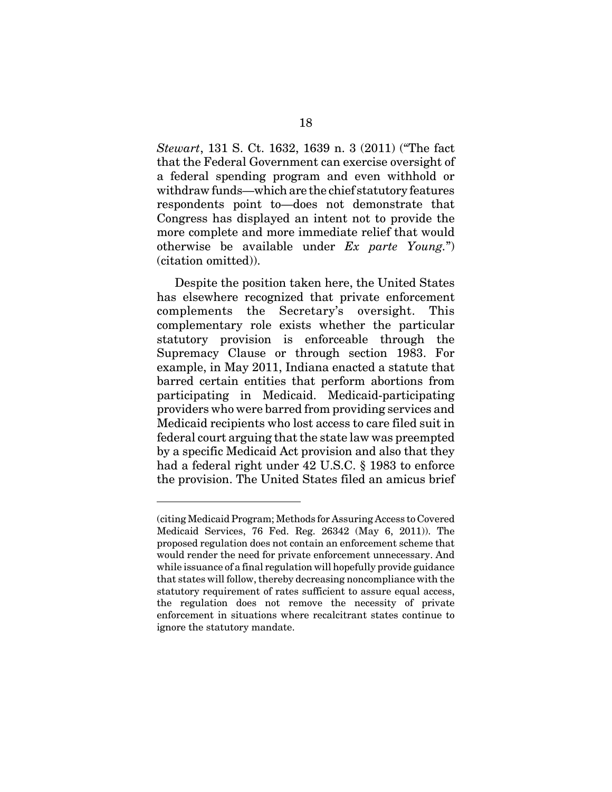*Stewart*, 131 S. Ct. 1632, 1639 n. 3 (2011) ("The fact that the Federal Government can exercise oversight of a federal spending program and even withhold or withdraw funds—which are the chief statutory features respondents point to—does not demonstrate that Congress has displayed an intent not to provide the more complete and more immediate relief that would otherwise be available under *Ex parte Young.*") (citation omitted)).

Despite the position taken here, the United States has elsewhere recognized that private enforcement complements the Secretary's oversight. This complementary role exists whether the particular statutory provision is enforceable through the Supremacy Clause or through section 1983. For example, in May 2011, Indiana enacted a statute that barred certain entities that perform abortions from participating in Medicaid. Medicaid-participating providers who were barred from providing services and Medicaid recipients who lost access to care filed suit in federal court arguing that the state law was preempted by a specific Medicaid Act provision and also that they had a federal right under 42 U.S.C. § 1983 to enforce the provision. The United States filed an amicus brief

<sup>(</sup>citing Medicaid Program; Methods for Assuring Access to Covered Medicaid Services, 76 Fed. Reg. 26342 (May 6, 2011)). The proposed regulation does not contain an enforcement scheme that would render the need for private enforcement unnecessary. And while issuance of a final regulation will hopefully provide guidance that states will follow, thereby decreasing noncompliance with the statutory requirement of rates sufficient to assure equal access, the regulation does not remove the necessity of private enforcement in situations where recalcitrant states continue to ignore the statutory mandate.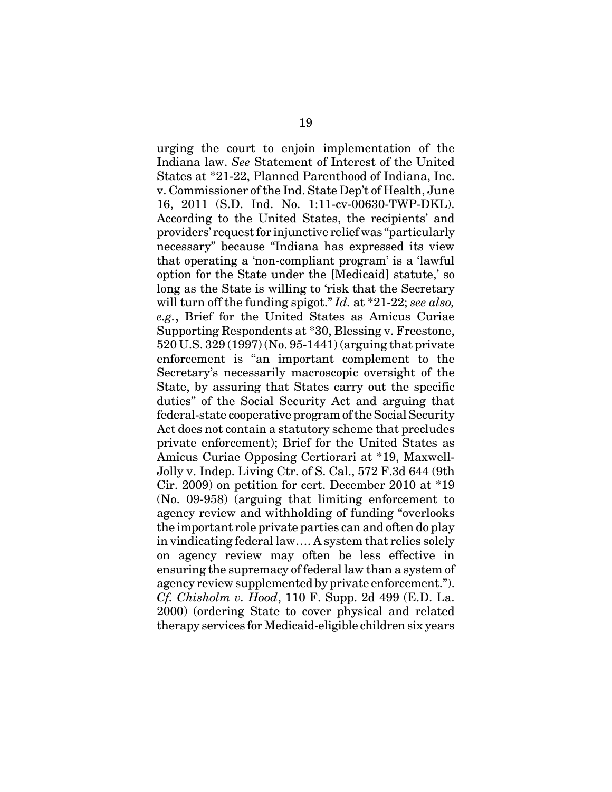urging the court to enjoin implementation of the Indiana law. *See* Statement of Interest of the United States at \*21-22, Planned Parenthood of Indiana, Inc. v. Commissioner of the Ind. State Dep't of Health, June 16, 2011 (S.D. Ind. No. 1:11-cv-00630-TWP-DKL). According to the United States, the recipients' and providers' request for injunctive relief was "particularly necessary" because "Indiana has expressed its view that operating a 'non-compliant program' is a 'lawful option for the State under the [Medicaid] statute,' so long as the State is willing to 'risk that the Secretary will turn off the funding spigot." *Id.* at \*21-22; *see also, e.g.*, Brief for the United States as Amicus Curiae Supporting Respondents at \*30, Blessing v. Freestone, 520 U.S. 329 (1997) (No. 95-1441) (arguing that private enforcement is "an important complement to the Secretary's necessarily macroscopic oversight of the State, by assuring that States carry out the specific duties" of the Social Security Act and arguing that federal-state cooperative program of the Social Security Act does not contain a statutory scheme that precludes private enforcement); Brief for the United States as Amicus Curiae Opposing Certiorari at \*19, Maxwell-Jolly v. Indep. Living Ctr. of S. Cal., 572 F.3d 644 (9th Cir. 2009) on petition for cert. December 2010 at \*19 (No. 09-958) (arguing that limiting enforcement to agency review and withholding of funding "overlooks the important role private parties can and often do play in vindicating federal law…. A system that relies solely on agency review may often be less effective in ensuring the supremacy of federal law than a system of agency review supplemented by private enforcement."). *Cf. Chisholm v. Hood*, 110 F. Supp. 2d 499 (E.D. La. 2000) (ordering State to cover physical and related therapy services for Medicaid-eligible children six years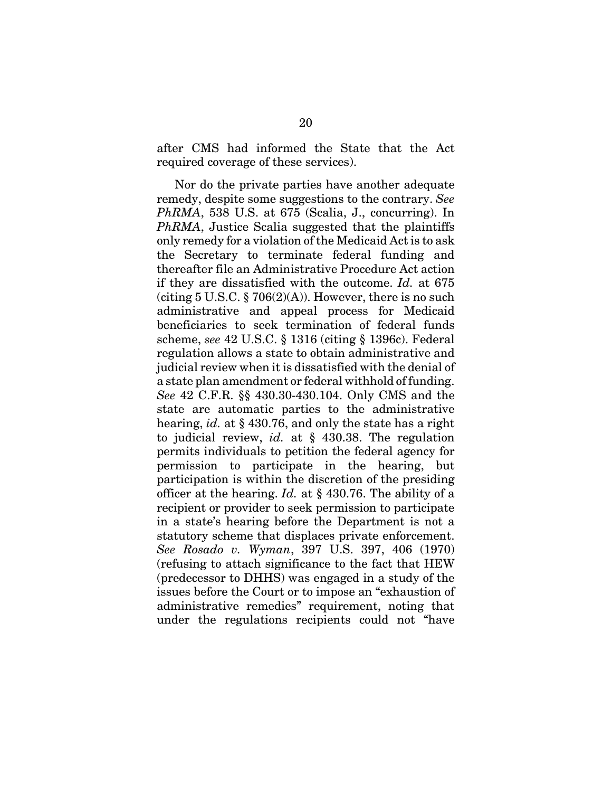after CMS had informed the State that the Act required coverage of these services).

Nor do the private parties have another adequate remedy, despite some suggestions to the contrary. *See PhRMA*, 538 U.S. at 675 (Scalia, J., concurring). In *PhRMA*, Justice Scalia suggested that the plaintiffs only remedy for a violation of the Medicaid Act is to ask the Secretary to terminate federal funding and thereafter file an Administrative Procedure Act action if they are dissatisfied with the outcome. *Id.* at 675 (citing  $5 \text{ U.S.C.}$  §  $706(2)(\text{A})$ ). However, there is no such administrative and appeal process for Medicaid beneficiaries to seek termination of federal funds scheme, *see* 42 U.S.C. § 1316 (citing § 1396c). Federal regulation allows a state to obtain administrative and judicial review when it is dissatisfied with the denial of a state plan amendment or federal withhold of funding. *See* 42 C.F.R. §§ 430.30-430.104. Only CMS and the state are automatic parties to the administrative hearing, *id.* at § 430.76, and only the state has a right to judicial review, *id.* at § 430.38. The regulation permits individuals to petition the federal agency for permission to participate in the hearing, but participation is within the discretion of the presiding officer at the hearing. *Id.* at § 430.76. The ability of a recipient or provider to seek permission to participate in a state's hearing before the Department is not a statutory scheme that displaces private enforcement. *See Rosado v. Wyman*, 397 U.S. 397, 406 (1970) (refusing to attach significance to the fact that HEW (predecessor to DHHS) was engaged in a study of the issues before the Court or to impose an "exhaustion of administrative remedies" requirement, noting that under the regulations recipients could not "have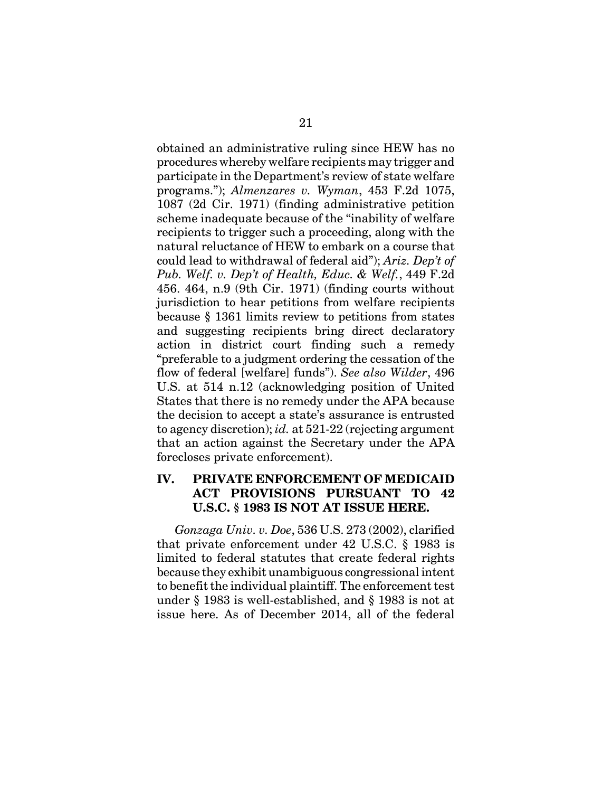obtained an administrative ruling since HEW has no procedures whereby welfare recipients may trigger and participate in the Department's review of state welfare programs."); *Almenzares v. Wyman*, 453 F.2d 1075, 1087 (2d Cir. 1971) (finding administrative petition scheme inadequate because of the "inability of welfare recipients to trigger such a proceeding, along with the natural reluctance of HEW to embark on a course that could lead to withdrawal of federal aid"); *Ariz. Dep't of Pub. Welf. v. Dep't of Health, Educ. & Welf.*, 449 F.2d 456. 464, n.9 (9th Cir. 1971) (finding courts without jurisdiction to hear petitions from welfare recipients because § 1361 limits review to petitions from states and suggesting recipients bring direct declaratory action in district court finding such a remedy "preferable to a judgment ordering the cessation of the flow of federal [welfare] funds"). *See also Wilder*, 496 U.S. at 514 n.12 (acknowledging position of United States that there is no remedy under the APA because the decision to accept a state's assurance is entrusted to agency discretion); *id.* at 521-22 (rejecting argument that an action against the Secretary under the APA forecloses private enforcement).

#### **IV. PRIVATE ENFORCEMENT OF MEDICAID ACT PROVISIONS PURSUANT TO 42 U.S.C. § 1983 IS NOT AT ISSUE HERE.**

*Gonzaga Univ. v. Doe*, 536 U.S. 273 (2002), clarified that private enforcement under 42 U.S.C. § 1983 is limited to federal statutes that create federal rights because they exhibit unambiguous congressional intent to benefit the individual plaintiff. The enforcement test under § 1983 is well-established, and § 1983 is not at issue here. As of December 2014, all of the federal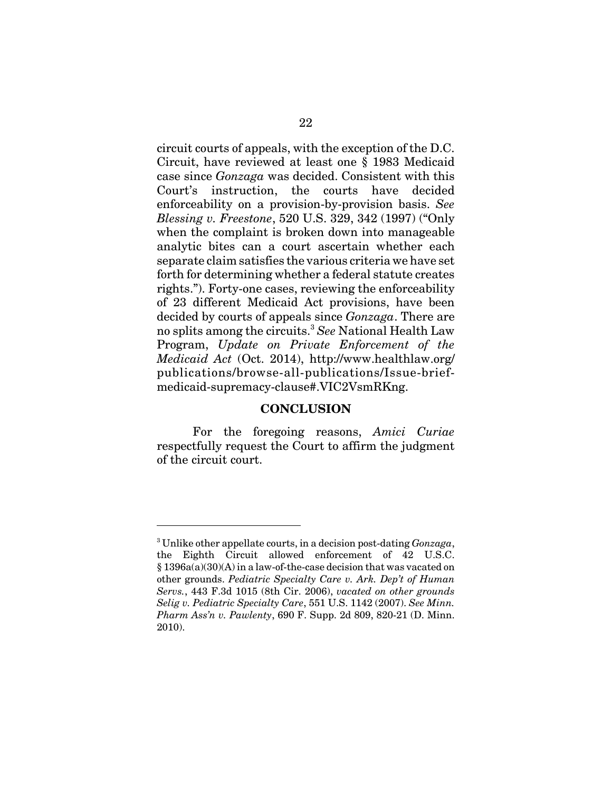circuit courts of appeals, with the exception of the D.C. Circuit, have reviewed at least one § 1983 Medicaid case since *Gonzaga* was decided. Consistent with this Court's instruction, the courts have decided enforceability on a provision-by-provision basis. *See Blessing v. Freestone*, 520 U.S. 329, 342 (1997) ("Only when the complaint is broken down into manageable analytic bites can a court ascertain whether each separate claim satisfies the various criteria we have set forth for determining whether a federal statute creates rights."). Forty-one cases, reviewing the enforceability of 23 different Medicaid Act provisions, have been decided by courts of appeals since *Gonzaga*. There are no splits among the circuits.3 *See* National Health Law Program, *Update on Private Enforcement of the Medicaid Act* (Oct. 2014), http://www.healthlaw.org/ publications/browse-all-publications/Issue-briefmedicaid-supremacy-clause#.VIC2VsmRKng.

#### **CONCLUSION**

For the foregoing reasons, *Amici Curiae* respectfully request the Court to affirm the judgment of the circuit court.

<sup>3</sup> Unlike other appellate courts, in a decision post-dating *Gonzaga*, the Eighth Circuit allowed enforcement of 42 U.S.C. § 1396a(a)(30)(A) in a law-of-the-case decision that was vacated on other grounds. *Pediatric Specialty Care v. Ark. Dep't of Human Servs.*, 443 F.3d 1015 (8th Cir. 2006), *vacated on other grounds Selig v. Pediatric Specialty Care*, 551 U.S. 1142 (2007). *See Minn. Pharm Ass'n v. Pawlenty*, 690 F. Supp. 2d 809, 820-21 (D. Minn. 2010).